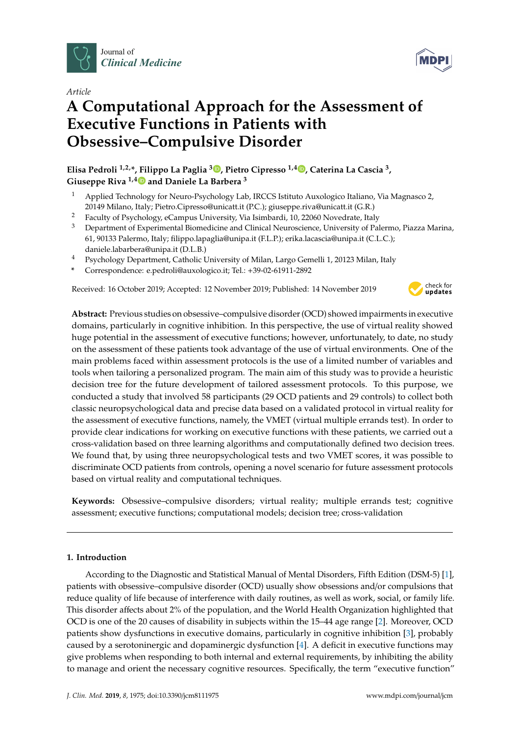

*Article*

# **A Computational Approach for the Assessment of Executive Functions in Patients with Obsessive–Compulsive Disorder**

**Elisa Pedroli 1,2,\*, Filippo La Paglia <sup>3</sup> [,](https://orcid.org/0000-0001-7464-1263) Pietro Cipresso 1,4 [,](https://orcid.org/0000-0002-0662-7678) Caterina La Cascia <sup>3</sup> , Giuseppe Riva 1,[4](https://orcid.org/0000-0003-3657-106X) and Daniele La Barbera <sup>3</sup>**

- <sup>1</sup> Applied Technology for Neuro-Psychology Lab, IRCCS Istituto Auxologico Italiano, Via Magnasco 2, 20149 Milano, Italy; Pietro.Cipresso@unicatt.it (P.C.); giuseppe.riva@unicatt.it (G.R.)
- <sup>2</sup> Faculty of Psychology, eCampus University, Via Isimbardi, 10, 22060 Novedrate, Italy<br><sup>3</sup> Department of Experimental Biomedicine and Clinical Nouregaines. University of Pal
- <sup>3</sup> Department of Experimental Biomedicine and Clinical Neuroscience, University of Palermo, Piazza Marina, 61, 90133 Palermo, Italy; filippo.lapaglia@unipa.it (F.L.P.); erika.lacascia@unipa.it (C.L.C.); daniele.labarbera@unipa.it (D.L.B.)
- <sup>4</sup> Psychology Department, Catholic University of Milan, Largo Gemelli 1, 20123 Milan, Italy
- **\*** Correspondence: e.pedroli@auxologico.it; Tel.: +39-02-61911-2892

Received: 16 October 2019; Accepted: 12 November 2019; Published: 14 November 2019



**Abstract:** Previous studies on obsessive–compulsive disorder (OCD) showed impairments in executive domains, particularly in cognitive inhibition. In this perspective, the use of virtual reality showed huge potential in the assessment of executive functions; however, unfortunately, to date, no study on the assessment of these patients took advantage of the use of virtual environments. One of the main problems faced within assessment protocols is the use of a limited number of variables and tools when tailoring a personalized program. The main aim of this study was to provide a heuristic decision tree for the future development of tailored assessment protocols. To this purpose, we conducted a study that involved 58 participants (29 OCD patients and 29 controls) to collect both classic neuropsychological data and precise data based on a validated protocol in virtual reality for the assessment of executive functions, namely, the VMET (virtual multiple errands test). In order to provide clear indications for working on executive functions with these patients, we carried out a cross-validation based on three learning algorithms and computationally defined two decision trees. We found that, by using three neuropsychological tests and two VMET scores, it was possible to discriminate OCD patients from controls, opening a novel scenario for future assessment protocols based on virtual reality and computational techniques.

**Keywords:** Obsessive–compulsive disorders; virtual reality; multiple errands test; cognitive assessment; executive functions; computational models; decision tree; cross-validation

## **1. Introduction**

According to the Diagnostic and Statistical Manual of Mental Disorders, Fifth Edition (DSM-5) [\[1\]](#page-10-0), patients with obsessive–compulsive disorder (OCD) usually show obsessions and/or compulsions that reduce quality of life because of interference with daily routines, as well as work, social, or family life. This disorder affects about 2% of the population, and the World Health Organization highlighted that OCD is one of the 20 causes of disability in subjects within the 15–44 age range [\[2\]](#page-10-1). Moreover, OCD patients show dysfunctions in executive domains, particularly in cognitive inhibition [\[3\]](#page-10-2), probably caused by a serotoninergic and dopaminergic dysfunction [\[4\]](#page-10-3). A deficit in executive functions may give problems when responding to both internal and external requirements, by inhibiting the ability to manage and orient the necessary cognitive resources. Specifically, the term "executive function"

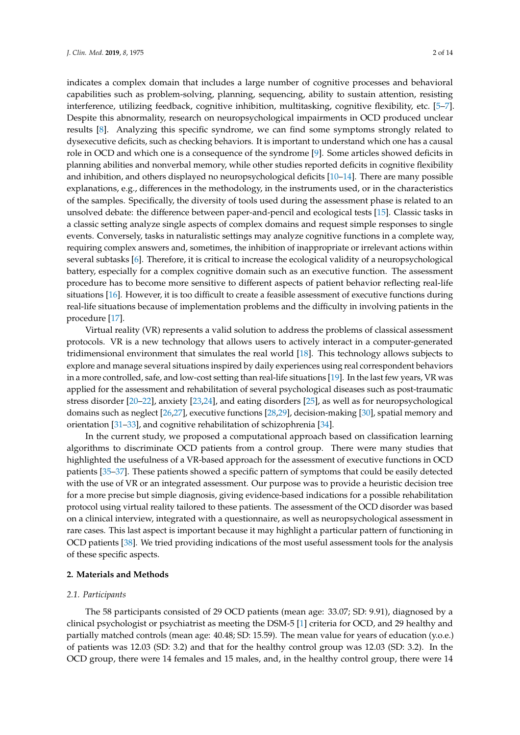indicates a complex domain that includes a large number of cognitive processes and behavioral capabilities such as problem-solving, planning, sequencing, ability to sustain attention, resisting interference, utilizing feedback, cognitive inhibition, multitasking, cognitive flexibility, etc. [\[5](#page-10-4)[–7\]](#page-10-5). Despite this abnormality, research on neuropsychological impairments in OCD produced unclear results [\[8\]](#page-10-6). Analyzing this specific syndrome, we can find some symptoms strongly related to dysexecutive deficits, such as checking behaviors. It is important to understand which one has a causal role in OCD and which one is a consequence of the syndrome [\[9\]](#page-10-7). Some articles showed deficits in planning abilities and nonverbal memory, while other studies reported deficits in cognitive flexibility and inhibition, and others displayed no neuropsychological deficits [\[10–](#page-10-8)[14\]](#page-11-0). There are many possible explanations, e.g., differences in the methodology, in the instruments used, or in the characteristics of the samples. Specifically, the diversity of tools used during the assessment phase is related to an unsolved debate: the difference between paper-and-pencil and ecological tests [\[15\]](#page-11-1). Classic tasks in a classic setting analyze single aspects of complex domains and request simple responses to single events. Conversely, tasks in naturalistic settings may analyze cognitive functions in a complete way, requiring complex answers and, sometimes, the inhibition of inappropriate or irrelevant actions within several subtasks [\[6\]](#page-10-9). Therefore, it is critical to increase the ecological validity of a neuropsychological battery, especially for a complex cognitive domain such as an executive function. The assessment procedure has to become more sensitive to different aspects of patient behavior reflecting real-life situations [\[16\]](#page-11-2). However, it is too difficult to create a feasible assessment of executive functions during real-life situations because of implementation problems and the difficulty in involving patients in the procedure [\[17\]](#page-11-3).

Virtual reality (VR) represents a valid solution to address the problems of classical assessment protocols. VR is a new technology that allows users to actively interact in a computer-generated tridimensional environment that simulates the real world [\[18\]](#page-11-4). This technology allows subjects to explore and manage several situations inspired by daily experiences using real correspondent behaviors in a more controlled, safe, and low-cost setting than real-life situations [\[19\]](#page-11-5). In the last few years, VR was applied for the assessment and rehabilitation of several psychological diseases such as post-traumatic stress disorder [\[20](#page-11-6)[–22\]](#page-11-7), anxiety [\[23](#page-11-8)[,24\]](#page-11-9), and eating disorders [\[25\]](#page-11-10), as well as for neuropsychological domains such as neglect [\[26,](#page-11-11)[27\]](#page-11-12), executive functions [\[28,](#page-11-13)[29\]](#page-11-14), decision-making [\[30\]](#page-11-15), spatial memory and orientation [\[31–](#page-11-16)[33\]](#page-12-0), and cognitive rehabilitation of schizophrenia [\[34\]](#page-12-1).

In the current study, we proposed a computational approach based on classification learning algorithms to discriminate OCD patients from a control group. There were many studies that highlighted the usefulness of a VR-based approach for the assessment of executive functions in OCD patients [\[35](#page-12-2)[–37\]](#page-12-3). These patients showed a specific pattern of symptoms that could be easily detected with the use of VR or an integrated assessment. Our purpose was to provide a heuristic decision tree for a more precise but simple diagnosis, giving evidence-based indications for a possible rehabilitation protocol using virtual reality tailored to these patients. The assessment of the OCD disorder was based on a clinical interview, integrated with a questionnaire, as well as neuropsychological assessment in rare cases. This last aspect is important because it may highlight a particular pattern of functioning in OCD patients [\[38\]](#page-12-4). We tried providing indications of the most useful assessment tools for the analysis of these specific aspects.

#### **2. Materials and Methods**

#### *2.1. Participants*

The 58 participants consisted of 29 OCD patients (mean age: 33.07; SD: 9.91), diagnosed by a clinical psychologist or psychiatrist as meeting the DSM-5 [\[1\]](#page-10-0) criteria for OCD, and 29 healthy and partially matched controls (mean age: 40.48; SD: 15.59). The mean value for years of education (y.o.e.) of patients was 12.03 (SD: 3.2) and that for the healthy control group was 12.03 (SD: 3.2). In the OCD group, there were 14 females and 15 males, and, in the healthy control group, there were 14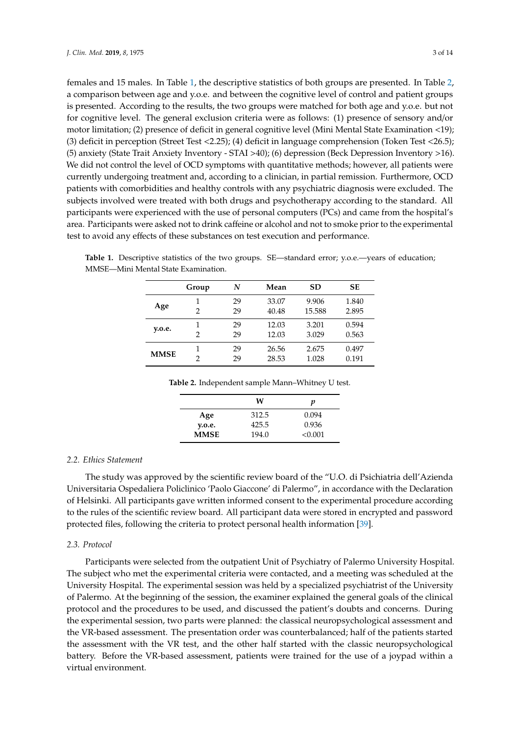females and 15 males. In Table [1,](#page-2-0) the descriptive statistics of both groups are presented. In Table [2,](#page-2-1) a comparison between age and y.o.e. and between the cognitive level of control and patient groups is presented. According to the results, the two groups were matched for both age and y.o.e. but not for cognitive level. The general exclusion criteria were as follows: (1) presence of sensory and/or motor limitation; (2) presence of deficit in general cognitive level (Mini Mental State Examination <19); (3) deficit in perception (Street Test <2.25); (4) deficit in language comprehension (Token Test <26.5); (5) anxiety (State Trait Anxiety Inventory - STAI >40); (6) depression (Beck Depression Inventory >16). We did not control the level of OCD symptoms with quantitative methods; however, all patients were currently undergoing treatment and, according to a clinician, in partial remission. Furthermore, OCD patients with comorbidities and healthy controls with any psychiatric diagnosis were excluded. The subjects involved were treated with both drugs and psychotherapy according to the standard. All participants were experienced with the use of personal computers (PCs) and came from the hospital's area. Participants were asked not to drink caffeine or alcohol and not to smoke prior to the experimental test to avoid any effects of these substances on test execution and performance.

|             | Group          | N        | Mean           | <b>SD</b>       | <b>SE</b>      |
|-------------|----------------|----------|----------------|-----------------|----------------|
| Age         | $\overline{2}$ | 29<br>29 | 33.07<br>40.48 | 9.906<br>15.588 | 1.840<br>2.895 |
| y.o.e.      | $\mathfrak{D}$ | 29<br>29 | 12.03<br>12.03 | 3.201<br>3.029  | 0.594<br>0.563 |
| <b>MMSE</b> | $\mathcal{P}$  | 29<br>29 | 26.56<br>28.53 | 2.675<br>1.028  | 0.497<br>0.191 |

<span id="page-2-0"></span>**Table 1.** Descriptive statistics of the two groups. SE—standard error; y.o.e.—years of education; MMSE—Mini Mental State Examination.

|             | W     | р       |
|-------------|-------|---------|
| Age         | 312.5 | 0.094   |
| y.o.e.      | 425.5 | 0.936   |
| <b>MMSE</b> | 194.0 | < 0.001 |

**Table 2.** Independent sample Mann–Whitney U test.

## <span id="page-2-1"></span>*2.2. Ethics Statement*

The study was approved by the scientific review board of the "U.O. di Psichiatria dell'Azienda Universitaria Ospedaliera Policlinico 'Paolo Giaccone' di Palermo", in accordance with the Declaration of Helsinki. All participants gave written informed consent to the experimental procedure according to the rules of the scientific review board. All participant data were stored in encrypted and password protected files, following the criteria to protect personal health information [\[39\]](#page-12-5).

## *2.3. Protocol*

Participants were selected from the outpatient Unit of Psychiatry of Palermo University Hospital. The subject who met the experimental criteria were contacted, and a meeting was scheduled at the University Hospital. The experimental session was held by a specialized psychiatrist of the University of Palermo. At the beginning of the session, the examiner explained the general goals of the clinical protocol and the procedures to be used, and discussed the patient's doubts and concerns. During the experimental session, two parts were planned: the classical neuropsychological assessment and the VR-based assessment. The presentation order was counterbalanced; half of the patients started the assessment with the VR test, and the other half started with the classic neuropsychological battery. Before the VR-based assessment, patients were trained for the use of a joypad within a virtual environment.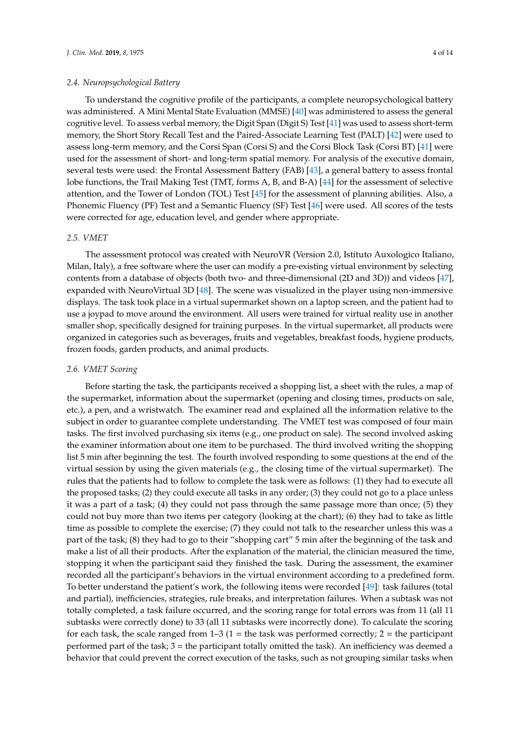#### *2.4. Neuropsychological Battery*

To understand the cognitive profile of the participants, a complete neuropsychological battery was administered. A Mini Mental State Evaluation (MMSE) [\[40\]](#page-12-6) was administered to assess the general cognitive level. To assess verbal memory, the Digit Span (Digit S) Test [\[41\]](#page-12-7) was used to assess short-term memory, the Short Story Recall Test and the Paired-Associate Learning Test (PALT) [\[42\]](#page-12-8) were used to assess long-term memory, and the Corsi Span (Corsi S) and the Corsi Block Task (Corsi BT) [\[41\]](#page-12-7) were used for the assessment of short- and long-term spatial memory. For analysis of the executive domain, several tests were used: the Frontal Assessment Battery (FAB) [\[43\]](#page-12-9), a general battery to assess frontal lobe functions, the Trail Making Test (TMT, forms A, B, and B-A) [\[44\]](#page-12-10) for the assessment of selective attention, and the Tower of London (TOL) Test [\[45\]](#page-12-11) for the assessment of planning abilities. Also, a Phonemic Fluency (PF) Test and a Semantic Fluency (SF) Test [\[46\]](#page-12-12) were used. All scores of the tests were corrected for age, education level, and gender where appropriate.

#### *2.5. VMET*

The assessment protocol was created with NeuroVR (Version 2.0, Istituto Auxologico Italiano, Milan, Italy), a free software where the user can modify a pre-existing virtual environment by selecting contents from a database of objects (both two- and three-dimensional (2D and 3D)) and videos [\[47\]](#page-12-13), expanded with NeuroVirtual 3D [\[48\]](#page-12-14). The scene was visualized in the player using non-immersive displays. The task took place in a virtual supermarket shown on a laptop screen, and the patient had to use a joypad to move around the environment. All users were trained for virtual reality use in another smaller shop, specifically designed for training purposes. In the virtual supermarket, all products were organized in categories such as beverages, fruits and vegetables, breakfast foods, hygiene products, frozen foods, garden products, and animal products.

### *2.6. VMET Scoring*

Before starting the task, the participants received a shopping list, a sheet with the rules, a map of the supermarket, information about the supermarket (opening and closing times, products on sale, etc.), a pen, and a wristwatch. The examiner read and explained all the information relative to the subject in order to guarantee complete understanding. The VMET test was composed of four main tasks. The first involved purchasing six items (e.g., one product on sale). The second involved asking the examiner information about one item to be purchased. The third involved writing the shopping list 5 min after beginning the test. The fourth involved responding to some questions at the end of the virtual session by using the given materials (e.g., the closing time of the virtual supermarket). The rules that the patients had to follow to complete the task were as follows: (1) they had to execute all the proposed tasks; (2) they could execute all tasks in any order; (3) they could not go to a place unless it was a part of a task; (4) they could not pass through the same passage more than once; (5) they could not buy more than two items per category (looking at the chart); (6) they had to take as little time as possible to complete the exercise; (7) they could not talk to the researcher unless this was a part of the task; (8) they had to go to their "shopping cart" 5 min after the beginning of the task and make a list of all their products. After the explanation of the material, the clinician measured the time, stopping it when the participant said they finished the task. During the assessment, the examiner recorded all the participant's behaviors in the virtual environment according to a predefined form. To better understand the patient's work, the following items were recorded [\[49\]](#page-12-15): task failures (total and partial), inefficiencies, strategies, rule breaks, and interpretation failures. When a subtask was not totally completed, a task failure occurred, and the scoring range for total errors was from 11 (all 11 subtasks were correctly done) to 33 (all 11 subtasks were incorrectly done). To calculate the scoring for each task, the scale ranged from  $1-3$  ( $1 =$  the task was performed correctly;  $2 =$  the participant performed part of the task;  $3 =$  the participant totally omitted the task). An inefficiency was deemed a behavior that could prevent the correct execution of the tasks, such as not grouping similar tasks when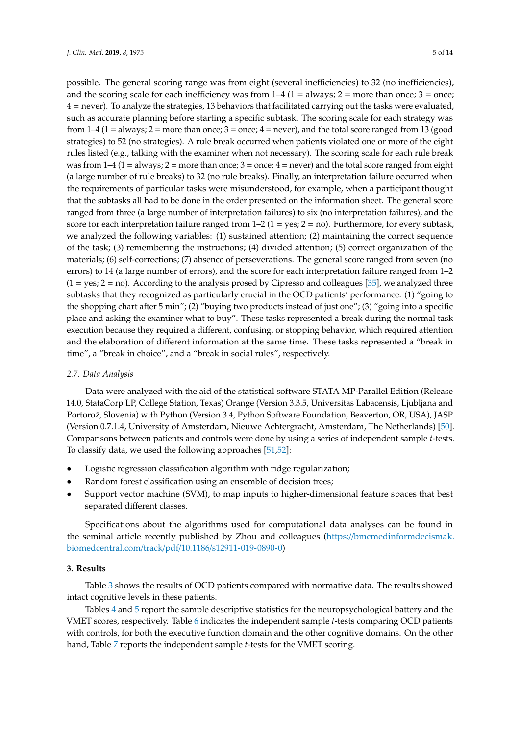possible. The general scoring range was from eight (several inefficiencies) to 32 (no inefficiencies), and the scoring scale for each inefficiency was from  $1-4$  ( $1 =$  always;  $2 =$  more than once;  $3 =$  once; 4 = never). To analyze the strategies, 13 behaviors that facilitated carrying out the tasks were evaluated, such as accurate planning before starting a specific subtask. The scoring scale for each strategy was from  $1-4$  ( $1 =$  always;  $2 =$  more than once;  $3 =$  once;  $4 =$  never), and the total score ranged from 13 (good strategies) to 52 (no strategies). A rule break occurred when patients violated one or more of the eight rules listed (e.g., talking with the examiner when not necessary). The scoring scale for each rule break was from  $1-4$  ( $1 =$  always;  $2 =$  more than once;  $3 =$  once;  $4 =$  never) and the total score ranged from eight (a large number of rule breaks) to 32 (no rule breaks). Finally, an interpretation failure occurred when the requirements of particular tasks were misunderstood, for example, when a participant thought that the subtasks all had to be done in the order presented on the information sheet. The general score ranged from three (a large number of interpretation failures) to six (no interpretation failures), and the score for each interpretation failure ranged from  $1-2$  ( $1 = yes$ ;  $2 = no$ ). Furthermore, for every subtask, we analyzed the following variables: (1) sustained attention; (2) maintaining the correct sequence of the task; (3) remembering the instructions; (4) divided attention; (5) correct organization of the materials; (6) self-corrections; (7) absence of perseverations. The general score ranged from seven (no errors) to 14 (a large number of errors), and the score for each interpretation failure ranged from 1–2  $(1 = yes; 2 = no)$ . According to the analysis prosed by Cipresso and colleagues [\[35\]](#page-12-2), we analyzed three subtasks that they recognized as particularly crucial in the OCD patients' performance: (1) "going to the shopping chart after 5 min"; (2) "buying two products instead of just one"; (3) "going into a specific place and asking the examiner what to buy". These tasks represented a break during the normal task execution because they required a different, confusing, or stopping behavior, which required attention and the elaboration of different information at the same time. These tasks represented a "break in time", a "break in choice", and a "break in social rules", respectively.

#### *2.7. Data Analysis*

Data were analyzed with the aid of the statistical software STATA MP-Parallel Edition (Release 14.0, StataCorp LP, College Station, Texas) Orange (Version 3.3.5, Universitas Labacensis, Ljubljana and Portorož, Slovenia) with Python (Version 3.4, Python Software Foundation, Beaverton, OR, USA), JASP (Version 0.7.1.4, University of Amsterdam, Nieuwe Achtergracht, Amsterdam, The Netherlands) [\[50\]](#page-12-16). Comparisons between patients and controls were done by using a series of independent sample *t*-tests. To classify data, we used the following approaches [\[51,](#page-12-17)[52\]](#page-12-18):

- Logistic regression classification algorithm with ridge regularization;
- Random forest classification using an ensemble of decision trees;
- Support vector machine (SVM), to map inputs to higher-dimensional feature spaces that best separated different classes.

Specifications about the algorithms used for computational data analyses can be found in the seminal article recently published by Zhou and colleagues (https://[bmcmedinformdecismak.](https://bmcmedinformdecismak.biomedcentral.com/track/pdf/10.1186/s12911-019-0890-0) [biomedcentral.com](https://bmcmedinformdecismak.biomedcentral.com/track/pdf/10.1186/s12911-019-0890-0)/track/pdf/10.1186/s12911-019-0890-0)

#### **3. Results**

Table [3](#page-5-0) shows the results of OCD patients compared with normative data. The results showed intact cognitive levels in these patients.

Tables [4](#page-5-1) and [5](#page-6-0) report the sample descriptive statistics for the neuropsychological battery and the VMET scores, respectively. Table [6](#page-7-0) indicates the independent sample *t*-tests comparing OCD patients with controls, for both the executive function domain and the other cognitive domains. On the other hand, Table [7](#page-7-1) reports the independent sample *t*-tests for the VMET scoring.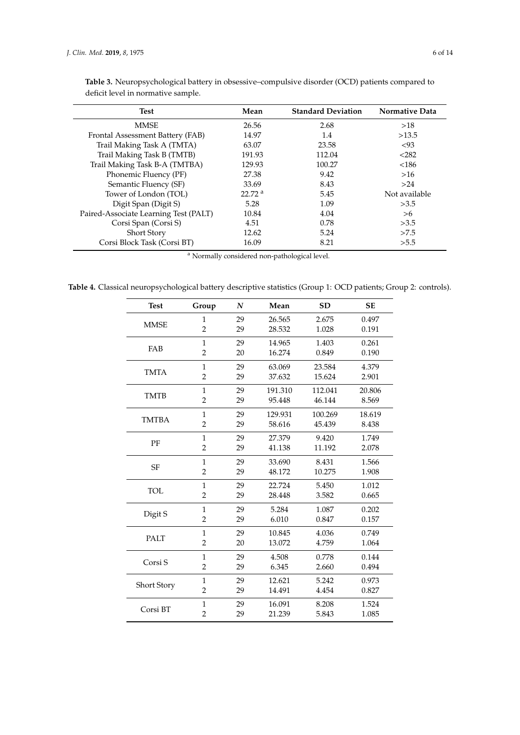| Test                                  | Mean               | <b>Standard Deviation</b> | <b>Normative Data</b> |
|---------------------------------------|--------------------|---------------------------|-----------------------|
| <b>MMSE</b>                           | 26.56              | 2.68                      | >18                   |
| Frontal Assessment Battery (FAB)      | 14.97              | 1.4                       | >13.5                 |
| Trail Making Task A (TMTA)            | 63.07              | 23.58                     | < 93                  |
| Trail Making Task B (TMTB)            | 191.93             | 112.04                    | < 282                 |
| Trail Making Task B-A (TMTBA)         | 129.93             | 100.27                    | < 186                 |
| Phonemic Fluency (PF)                 | 27.38              | 9.42                      | >16                   |
| Semantic Fluency (SF)                 | 33.69              | 8.43                      | >24                   |
| Tower of London (TOL)                 | 22.72 <sup>a</sup> | 5.45                      | Not available         |
| Digit Span (Digit S)                  | 5.28               | 1.09                      | >3.5                  |
| Paired-Associate Learning Test (PALT) | 10.84              | 4.04                      | > 6                   |
| Corsi Span (Corsi S)                  | 4.51               | 0.78                      | >3.5                  |
| <b>Short Story</b>                    | 12.62              | 5.24                      | >7.5                  |
| Corsi Block Task (Corsi BT)           | 16.09              | 8.21                      | >5.5                  |

<span id="page-5-0"></span>**Table 3.** Neuropsychological battery in obsessive–compulsive disorder (OCD) patients compared to deficit level in normative sample.

<sup>a</sup> Normally considered non-pathological level.

<span id="page-5-1"></span>**Table 4.** Classical neuropsychological battery descriptive statistics (Group 1: OCD patients; Group 2: controls).

| <b>Test</b>  | Group          | $\mathbf{N}$ | Mean    | <b>SD</b> | <b>SE</b> |
|--------------|----------------|--------------|---------|-----------|-----------|
|              | 1              | 29           | 26.565  | 2.675     | 0.497     |
| <b>MMSE</b>  | $\overline{2}$ | 29           | 28.532  | 1.028     | 0.191     |
|              | $\mathbf{1}$   | 29           | 14.965  | 1.403     | 0.261     |
| FAB          | $\overline{2}$ | 20           | 16.274  | 0.849     | 0.190     |
| <b>TMTA</b>  | $\mathbf{1}$   | 29           | 63.069  | 23.584    | 4.379     |
|              | $\overline{2}$ | 29           | 37.632  | 15.624    | 2.901     |
|              | $\mathbf{1}$   | 29           | 191.310 | 112.041   | 20.806    |
| <b>TMTB</b>  | $\overline{2}$ | 29           | 95.448  | 46.144    | 8.569     |
|              | $\mathbf{1}$   | 29           | 129.931 | 100.269   | 18.619    |
| <b>TMTBA</b> | $\overline{2}$ | 29           | 58.616  | 45.439    | 8.438     |
|              | $\mathbf{1}$   | 29           | 27.379  | 9.420     | 1.749     |
| PF           | $\overline{2}$ | 29           | 41.138  | 11.192    | 2.078     |
|              | $\mathbf{1}$   | 29           | 33.690  | 8.431     | 1.566     |
| <b>SF</b>    | $\overline{2}$ | 29           | 48.172  | 10.275    | 1.908     |
|              | $\mathbf{1}$   | 29           | 22.724  | 5.450     | 1.012     |
| <b>TOL</b>   | $\overline{2}$ | 29           | 28.448  | 3.582     | 0.665     |
| Digit S      | $\mathbf{1}$   | 29           | 5.284   | 1.087     | 0.202     |
|              | $\overline{2}$ | 29           | 6.010   | 0.847     | 0.157     |
|              | $\mathbf{1}$   | 29           | 10.845  | 4.036     | 0.749     |
| <b>PALT</b>  | $\overline{2}$ | 20           | 13.072  | 4.759     | 1.064     |
|              | $\mathbf{1}$   | 29           | 4.508   | 0.778     | 0.144     |
| Corsi S      | $\overline{2}$ | 29           | 6.345   | 2.660     | 0.494     |
| Short Story  | $\mathbf{1}$   | 29           | 12.621  | 5.242     | 0.973     |
|              | $\overline{2}$ | 29           | 14.491  | 4.454     | 0.827     |
|              | $\mathbf{1}$   | 29           | 16.091  | 8.208     | 1.524     |
| Corsi BT     | $\overline{2}$ | 29           | 21.239  | 5.843     | 1.085     |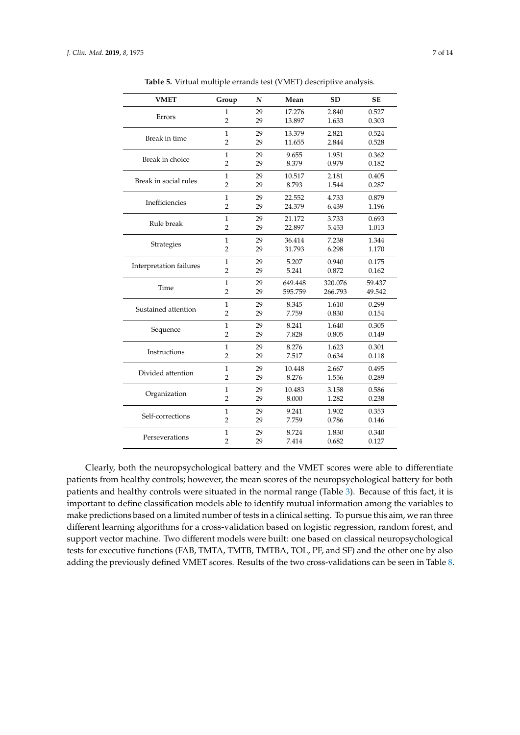<span id="page-6-0"></span>

| <b>VMET</b>             | Group          | $\boldsymbol{N}$ | Mean    | <b>SD</b> | <b>SE</b> |
|-------------------------|----------------|------------------|---------|-----------|-----------|
|                         | $\mathbf{1}$   | 29               | 17.276  | 2.840     | 0.527     |
| Errors                  | $\overline{2}$ | 29               | 13.897  | 1.633     | 0.303     |
| Break in time           | $\mathbf{1}$   | 29               | 13.379  | 2.821     | 0.524     |
|                         | $\overline{2}$ | 29               | 11.655  | 2.844     | 0.528     |
| Break in choice         | $\mathbf{1}$   | 29               | 9.655   | 1.951     | 0.362     |
|                         | $\overline{2}$ | 29               | 8.379   | 0.979     | 0.182     |
| Break in social rules   | $\mathbf{1}$   | 29               | 10.517  | 2.181     | 0.405     |
|                         | $\overline{2}$ | 29               | 8.793   | 1.544     | 0.287     |
| Inefficiencies          | $\mathbf{1}$   | 29               | 22.552  | 4.733     | 0.879     |
|                         | $\overline{2}$ | 29               | 24.379  | 6.439     | 1.196     |
| Rule break              | $\mathbf{1}$   | 29               | 21.172  | 3.733     | 0.693     |
|                         | $\overline{2}$ | 29               | 22.897  | 5.453     | 1.013     |
| Strategies              | $\mathbf{1}$   | 29               | 36.414  | 7.238     | 1.344     |
|                         | $\overline{2}$ | 29               | 31.793  | 6.298     | 1.170     |
| Interpretation failures | $\mathbf{1}$   | 29               | 5.207   | 0.940     | 0.175     |
|                         | $\overline{2}$ | 29               | 5.241   | 0.872     | 0.162     |
|                         | $\mathbf{1}$   | 29               | 649.448 | 320.076   | 59.437    |
| Time                    | $\overline{2}$ | 29               | 595.759 | 266.793   | 49.542    |
| Sustained attention     | $\mathbf{1}$   | 29               | 8.345   | 1.610     | 0.299     |
|                         | $\overline{2}$ | 29               | 7.759   | 0.830     | 0.154     |
| Sequence                | $\mathbf{1}$   | 29               | 8.241   | 1.640     | 0.305     |
|                         | $\overline{2}$ | 29               | 7.828   | 0.805     | 0.149     |
| Instructions            | $\mathbf{1}$   | 29               | 8.276   | 1.623     | 0.301     |
|                         | $\overline{2}$ | 29               | 7.517   | 0.634     | 0.118     |
| Divided attention       | $\mathbf{1}$   | 29               | 10.448  | 2.667     | 0.495     |
|                         | $\overline{2}$ | 29               | 8.276   | 1.556     | 0.289     |
| Organization            | $\mathbf{1}$   | 29               | 10.483  | 3.158     | 0.586     |
|                         | $\overline{2}$ | 29               | 8.000   | 1.282     | 0.238     |
|                         | $\mathbf{1}$   | 29               | 9.241   | 1.902     | 0.353     |
| Self-corrections        | $\overline{2}$ | 29               | 7.759   | 0.786     | 0.146     |
|                         | $\mathbf{1}$   | 29               | 8.724   | 1.830     | 0.340     |
| Perseverations          | $\overline{2}$ | 29               | 7.414   | 0.682     | 0.127     |

**Table 5.** Virtual multiple errands test (VMET) descriptive analysis.

Clearly, both the neuropsychological battery and the VMET scores were able to differentiate patients from healthy controls; however, the mean scores of the neuropsychological battery for both patients and healthy controls were situated in the normal range (Table [3\)](#page-5-0). Because of this fact, it is important to define classification models able to identify mutual information among the variables to make predictions based on a limited number of tests in a clinical setting. To pursue this aim, we ran three different learning algorithms for a cross-validation based on logistic regression, random forest, and support vector machine. Two different models were built: one based on classical neuropsychological tests for executive functions (FAB, TMTA, TMTB, TMTBA, TOL, PF, and SF) and the other one by also adding the previously defined VMET scores. Results of the two cross-validations can be seen in Table [8.](#page-8-0)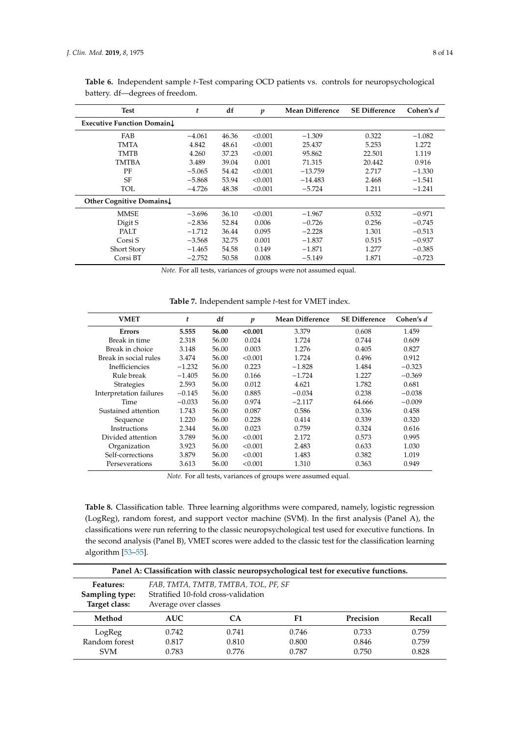| Test                               | t        | df    | p       | <b>Mean Difference</b> | <b>SE Difference</b> | Cohen's d |
|------------------------------------|----------|-------|---------|------------------------|----------------------|-----------|
| <b>Executive Function Domain L</b> |          |       |         |                        |                      |           |
| FAB                                | $-4.061$ | 46.36 | < 0.001 | $-1.309$               | 0.322                | $-1.082$  |
| TMTA                               | 4.842    | 48.61 | < 0.001 | 25.437                 | 5.253                | 1.272     |
| TMTB                               | 4.260    | 37.23 | < 0.001 | 95.862                 | 22.501               | 1.119     |
| TMTBA                              | 3.489    | 39.04 | 0.001   | 71.315                 | 20.442               | 0.916     |
| PF                                 | $-5.065$ | 54.42 | < 0.001 | $-13.759$              | 2.717                | $-1.330$  |
| SF                                 | $-5.868$ | 53.94 | < 0.001 | $-14.483$              | 2.468                | $-1.541$  |
| TOL                                | $-4.726$ | 48.38 | < 0.001 | $-5.724$               | 1.211                | $-1.241$  |
| Other Cognitive Domains            |          |       |         |                        |                      |           |
| <b>MMSE</b>                        | $-3.696$ | 36.10 | < 0.001 | $-1.967$               | 0.532                | $-0.971$  |
| Digit S                            | $-2.836$ | 52.84 | 0.006   | $-0.726$               | 0.256                | $-0.745$  |
| <b>PALT</b>                        | $-1.712$ | 36.44 | 0.095   | $-2.228$               | 1.301                | $-0.513$  |
| Corsi S                            | $-3.568$ | 32.75 | 0.001   | $-1.837$               | 0.515                | $-0.937$  |
| <b>Short Story</b>                 | $-1.465$ | 54.58 | 0.149   | $-1.871$               | 1.277                | $-0.385$  |
| Corsi BT                           | $-2.752$ | 50.58 | 0.008   | $-5.149$               | 1.871                | $-0.723$  |

<span id="page-7-0"></span>**Table 6.** Independent sample *t*-Test comparing OCD patients vs. controls for neuropsychological battery. df—degrees of freedom.

*Note.* For all tests, variances of groups were not assumed equal.

**Table 7.** Independent sample *t*-test for VMET index.

<span id="page-7-1"></span>

| <b>VMET</b>             | t        | df    | $\boldsymbol{p}$ | <b>Mean Difference</b> | <b>SE Difference</b> | Cohen's $d$ |
|-------------------------|----------|-------|------------------|------------------------|----------------------|-------------|
| <b>Errors</b>           | 5.555    | 56.00 | < 0.001          | 3.379                  | 0.608                | 1.459       |
| Break in time           | 2.318    | 56.00 | 0.024            | 1.724                  | 0.744                | 0.609       |
| Break in choice         | 3.148    | 56.00 | 0.003            | 1.276                  | 0.405                | 0.827       |
| Break in social rules   | 3.474    | 56.00 | < 0.001          | 1.724                  | 0.496                | 0.912       |
| Inefficiencies          | $-1.232$ | 56.00 | 0.223            | $-1.828$               | 1.484                | $-0.323$    |
| Rule break              | $-1.405$ | 56.00 | 0.166            | $-1.724$               | 1.227                | $-0.369$    |
| <b>Strategies</b>       | 2.593    | 56.00 | 0.012            | 4.621                  | 1.782                | 0.681       |
| Interpretation failures | $-0.145$ | 56.00 | 0.885            | $-0.034$               | 0.238                | $-0.038$    |
| Time                    | $-0.033$ | 56.00 | 0.974            | $-2.117$               | 64.666               | $-0.009$    |
| Sustained attention     | 1.743    | 56.00 | 0.087            | 0.586                  | 0.336                | 0.458       |
| Sequence                | 1.220    | 56.00 | 0.228            | 0.414                  | 0.339                | 0.320       |
| Instructions            | 2.344    | 56.00 | 0.023            | 0.759                  | 0.324                | 0.616       |
| Divided attention       | 3.789    | 56.00 | < 0.001          | 2.172                  | 0.573                | 0.995       |
| Organization            | 3.923    | 56.00 | < 0.001          | 2.483                  | 0.633                | 1.030       |
| Self-corrections        | 3.879    | 56.00 | < 0.001          | 1.483                  | 0.382                | 1.019       |
| Perseverations          | 3.613    | 56.00 | < 0.001          | 1.310                  | 0.363                | 0.949       |

*Note.* For all tests, variances of groups were assumed equal.

**Table 8.** Classification table. Three learning algorithms were compared, namely, logistic regression (LogReg), random forest, and support vector machine (SVM). In the first analysis (Panel A), the classifications were run referring to the classic neuropsychological test used for executive functions. In the second analysis (Panel B), VMET scores were added to the classic test for the classification learning algorithm [\[53–](#page-12-19)[55\]](#page-13-0).

| Panel A: Classification with classic neuropsychological test for executive functions. |                                     |           |       |           |               |  |  |  |
|---------------------------------------------------------------------------------------|-------------------------------------|-----------|-------|-----------|---------------|--|--|--|
| <b>Features:</b>                                                                      | FAB, TMTA, TMTB, TMTBA, TOL, PF, SF |           |       |           |               |  |  |  |
| Sampling type:                                                                        | Stratified 10-fold cross-validation |           |       |           |               |  |  |  |
| Target class:                                                                         | Average over classes                |           |       |           |               |  |  |  |
| Method                                                                                | <b>AUC</b>                          | <b>CA</b> | F1    | Precision | <b>Recall</b> |  |  |  |
| LogReg                                                                                | 0.742                               | 0.741     | 0.746 | 0.733     | 0.759         |  |  |  |
| Random forest                                                                         | 0.817                               | 0.810     | 0.800 | 0.846     | 0.759         |  |  |  |
| <b>SVM</b>                                                                            | 0.783                               | 0.776     | 0.787 | 0.750     | 0.828         |  |  |  |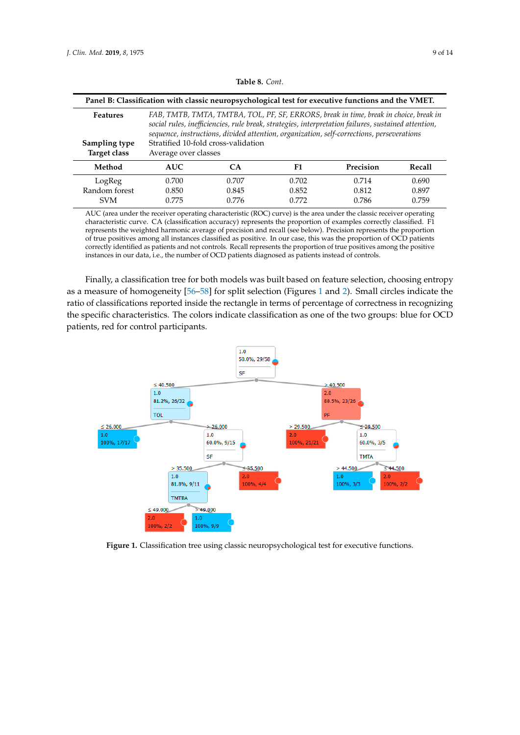<span id="page-8-0"></span>

| Panel B: Classification with classic neuropsychological test for executive functions and the VMET. |                                                                                                                                                                                                                                                                                           |                                     |       |           |        |  |  |  |
|----------------------------------------------------------------------------------------------------|-------------------------------------------------------------------------------------------------------------------------------------------------------------------------------------------------------------------------------------------------------------------------------------------|-------------------------------------|-------|-----------|--------|--|--|--|
| <b>Features</b>                                                                                    | FAB, TMTB, TMTA, TMTBA, TOL, PF, SF, ERRORS, break in time, break in choice, break in<br>social rules, inefficiencies, rule break, strategies, interpretation failures, sustained attention,<br>sequence, instructions, divided attention, organization, self-corrections, perseverations |                                     |       |           |        |  |  |  |
| Sampling type                                                                                      |                                                                                                                                                                                                                                                                                           | Stratified 10-fold cross-validation |       |           |        |  |  |  |
| <b>Target class</b>                                                                                | Average over classes                                                                                                                                                                                                                                                                      |                                     |       |           |        |  |  |  |
| Method                                                                                             | <b>AUC</b>                                                                                                                                                                                                                                                                                | <b>CA</b>                           | F1    | Precision | Recall |  |  |  |
| LogReg                                                                                             | 0.700                                                                                                                                                                                                                                                                                     | 0.707                               | 0.702 | 0.714     | 0.690  |  |  |  |
| Random forest                                                                                      | 0.850                                                                                                                                                                                                                                                                                     | 0.845                               | 0.852 | 0.812     | 0.897  |  |  |  |
| <b>SVM</b>                                                                                         | 0.775                                                                                                                                                                                                                                                                                     | 0.776                               | 0.772 | 0.786     | 0.759  |  |  |  |

**Table 8.** *Cont.*

AUC (area under the receiver operating characteristic (ROC) curve) is the area under the classic receiver operating characteristic curve. CA (classification accuracy) represents the proportion of examples correctly classified. F1 represents the weighted harmonic average of precision and recall (see below). Precision represents the proportion of true positives among all instances classified as positive. In our case, this was the proportion of OCD patients correctly identified as patients and not controls. Recall represents the proportion of true positives among the positive instances in our data, i.e., the number of OCD patients diagnosed as patients instead of controls.<br> $\blacksquare$ 

Finally, a classification tree for both models was built based on feature selection, choosing entropy Finally, a classification tree for both models was built based on feature selection, choosing as a measure of homogeneity [\[56](#page-13-1)-58] for split selection (Figures [1](#page-8-1) and [2\)](#page-9-0). Small circles indicate the ratio of classifications reported inside the rectangle in terms of percentage of correctness in recognizing the specific characteristics. The colors indicate classification as one of the two groups: blue for OCD patients, red for control participants.

<span id="page-8-1"></span>

**Figure 1.** Classification tree using classic neuropsychological test for executive functions.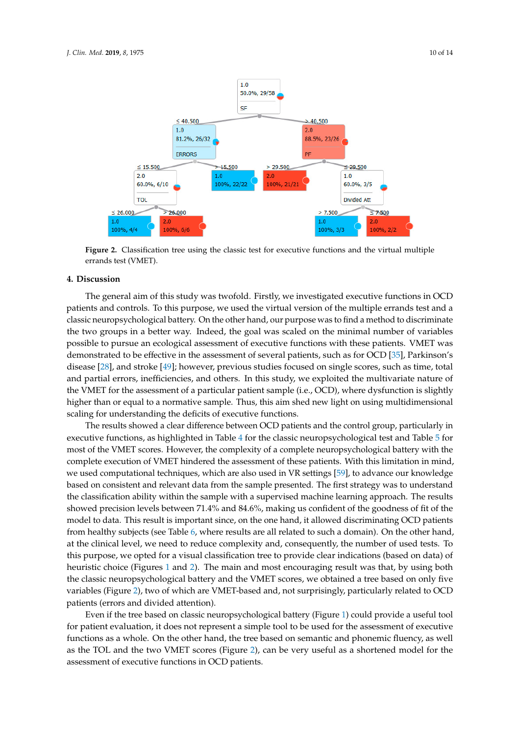<span id="page-9-0"></span>

**Figure 2.** Classification tree using the classic test for executive functions and the virtual multiple errands test (VMET).

#### **Figure 2.** Classification tree using the classic test for executive functions and the virtual multiple **4. Discussion**

patients and controls. To this purpose, we used the virtual version of the multiple errands test and a classic neuropsychological battery. On the other hand, our purpose was to find a method to discriminate the two groups in a better way. Indeed, the goal was scaled on the minimal number of variables The general aim of this study was twofold. Firstly, we investigated executive functions in OCD possible to pursue an ecological assessment of executive functions with these patients. VMET was demonstrated to be effective in the assessment of several patients, such as for OCD [\[35\]](#page-12-2), Parkinson's disease [\[28\]](#page-11-13), and stroke [\[49\]](#page-12-15); however, previous studies focused on single scores, such as time, total and partial errors, inefficiencies, and others. In this study, we exploited the multivariate nature of the VMET for the assessment of a particular patient sample (i.e., OCD), where dysfunction is slightly higher than or equal to a normative sample. Thus, this aim shed new light on using multidimensional scaling for understanding the deficits of executive functions.

The results showed a clear difference between OCD patients and the control group, particularly in executive functions, as highlighted in Table [4](#page-5-1) for the classic neuropsychological test and Table [5](#page-6-0) for most of the VMET scores. However, the complexity of a complete neuropsychological battery with the complete execution of VMET hindered the assessment of these patients. With this limitation in mind, we used computational techniques, which are also used in VR settings [\[59\]](#page-13-3), to advance our knowledge based on consistent and relevant data from the sample presented. The first strategy was to understand the classification ability within the sample with a supervised machine learning approach. The results showed precision levels between 71.4% and 84.6%, making us confident of the goodness of fit of the model to data. This result is important since, on the one hand, it allowed discriminating OCD patients from healthy subjects (see Table [6,](#page-7-0) where results are all related to such a domain). On the other hand, at the clinical level, we need to reduce complexity and, consequently, the number of used tests. To this purpose, we opted for a visual classification tree to provide clear indications (based on data) of heuristic choice (Figures [1](#page-8-1) and [2\)](#page-9-0). The main and most encouraging result was that, by using both the classic neuropsychological battery and the VMET scores, we obtained a tree based on only five variables (Figure [2\)](#page-9-0), two of which are VMET-based and, not surprisingly, particularly related to OCD patients (errors and divided attention).

Even if the tree based on classic neuropsychological battery (Figure [1\)](#page-8-1) could provide a useful tool for patient evaluation, it does not represent a simple tool to be used for the assessment of executive functions as a whole. On the other hand, the tree based on semantic and phonemic fluency, as well as the TOL and the two VMET scores (Figure [2\)](#page-9-0), can be very useful as a shortened model for the assessment of executive functions in OCD patients.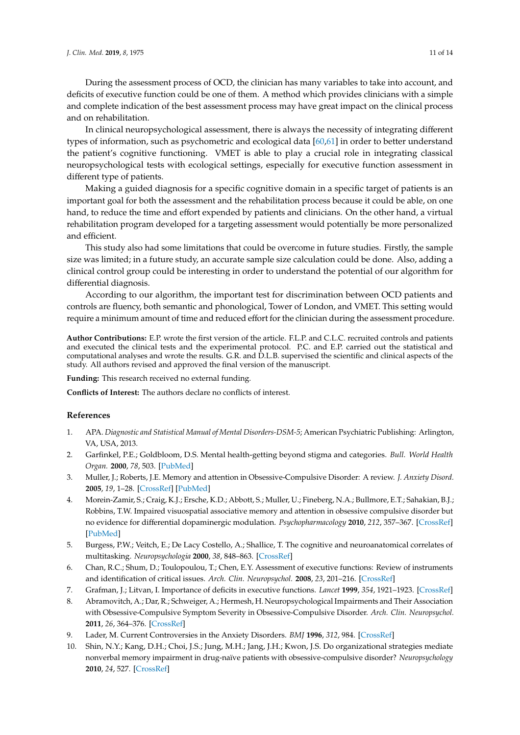During the assessment process of OCD, the clinician has many variables to take into account, and deficits of executive function could be one of them. A method which provides clinicians with a simple and complete indication of the best assessment process may have great impact on the clinical process and on rehabilitation.

In clinical neuropsychological assessment, there is always the necessity of integrating different types of information, such as psychometric and ecological data [\[60](#page-13-4)[,61\]](#page-13-5) in order to better understand the patient's cognitive functioning. VMET is able to play a crucial role in integrating classical neuropsychological tests with ecological settings, especially for executive function assessment in different type of patients.

Making a guided diagnosis for a specific cognitive domain in a specific target of patients is an important goal for both the assessment and the rehabilitation process because it could be able, on one hand, to reduce the time and effort expended by patients and clinicians. On the other hand, a virtual rehabilitation program developed for a targeting assessment would potentially be more personalized and efficient.

This study also had some limitations that could be overcome in future studies. Firstly, the sample size was limited; in a future study, an accurate sample size calculation could be done. Also, adding a clinical control group could be interesting in order to understand the potential of our algorithm for differential diagnosis.

According to our algorithm, the important test for discrimination between OCD patients and controls are fluency, both semantic and phonological, Tower of London, and VMET. This setting would require a minimum amount of time and reduced effort for the clinician during the assessment procedure.

**Author Contributions:** E.P. wrote the first version of the article. F.L.P. and C.L.C. recruited controls and patients and executed the clinical tests and the experimental protocol. P.C. and E.P. carried out the statistical and computational analyses and wrote the results. G.R. and D.L.B. supervised the scientific and clinical aspects of the study. All authors revised and approved the final version of the manuscript.

**Funding:** This research received no external funding.

**Conflicts of Interest:** The authors declare no conflicts of interest.

#### **References**

- <span id="page-10-0"></span>1. APA. *Diagnostic and Statistical Manual of Mental Disorders-DSM-5*; American Psychiatric Publishing: Arlington, VA, USA, 2013.
- <span id="page-10-1"></span>2. Garfinkel, P.E.; Goldbloom, D.S. Mental health-getting beyond stigma and categories. *Bull. World Health Organ.* **2000**, *78*, 503. [\[PubMed\]](http://www.ncbi.nlm.nih.gov/pubmed/10885171)
- <span id="page-10-2"></span>3. Muller, J.; Roberts, J.E. Memory and attention in Obsessive-Compulsive Disorder: A review. *J. Anxiety Disord.* **2005**, *19*, 1–28. [\[CrossRef\]](http://dx.doi.org/10.1016/j.janxdis.2003.12.001) [\[PubMed\]](http://www.ncbi.nlm.nih.gov/pubmed/15488365)
- <span id="page-10-3"></span>4. Morein-Zamir, S.; Craig, K.J.; Ersche, K.D.; Abbott, S.; Muller, U.; Fineberg, N.A.; Bullmore, E.T.; Sahakian, B.J.; Robbins, T.W. Impaired visuospatial associative memory and attention in obsessive compulsive disorder but no evidence for differential dopaminergic modulation. *Psychopharmacology* **2010**, *212*, 357–367. [\[CrossRef\]](http://dx.doi.org/10.1007/s00213-010-1963-z) [\[PubMed\]](http://www.ncbi.nlm.nih.gov/pubmed/20661550)
- <span id="page-10-4"></span>5. Burgess, P.W.; Veitch, E.; De Lacy Costello, A.; Shallice, T. The cognitive and neuroanatomical correlates of multitasking. *Neuropsychologia* **2000**, *38*, 848–863. [\[CrossRef\]](http://dx.doi.org/10.1016/S0028-3932(99)00134-7)
- <span id="page-10-9"></span>6. Chan, R.C.; Shum, D.; Toulopoulou, T.; Chen, E.Y. Assessment of executive functions: Review of instruments and identification of critical issues. *Arch. Clin. Neuropsychol.* **2008**, *23*, 201–216. [\[CrossRef\]](http://dx.doi.org/10.1016/j.acn.2007.08.010)
- <span id="page-10-5"></span>7. Grafman, J.; Litvan, I. Importance of deficits in executive functions. *Lancet* **1999**, *354*, 1921–1923. [\[CrossRef\]](http://dx.doi.org/10.1016/S0140-6736(99)90438-5)
- <span id="page-10-6"></span>8. Abramovitch, A.; Dar, R.; Schweiger, A.; Hermesh, H. Neuropsychological Impairments and Their Association with Obsessive-Compulsive Symptom Severity in Obsessive-Compulsive Disorder. *Arch. Clin. Neuropsychol.* **2011**, *26*, 364–376. [\[CrossRef\]](http://dx.doi.org/10.1093/arclin/acr022)
- <span id="page-10-7"></span>9. Lader, M. Current Controversies in the Anxiety Disorders. *BMJ* **1996**, *312*, 984. [\[CrossRef\]](http://dx.doi.org/10.1136/bmj.312.7036.984a)
- <span id="page-10-8"></span>10. Shin, N.Y.; Kang, D.H.; Choi, J.S.; Jung, M.H.; Jang, J.H.; Kwon, J.S. Do organizational strategies mediate nonverbal memory impairment in drug-naïve patients with obsessive-compulsive disorder? *Neuropsychology* **2010**, *24*, 527. [\[CrossRef\]](http://dx.doi.org/10.1037/a0018653)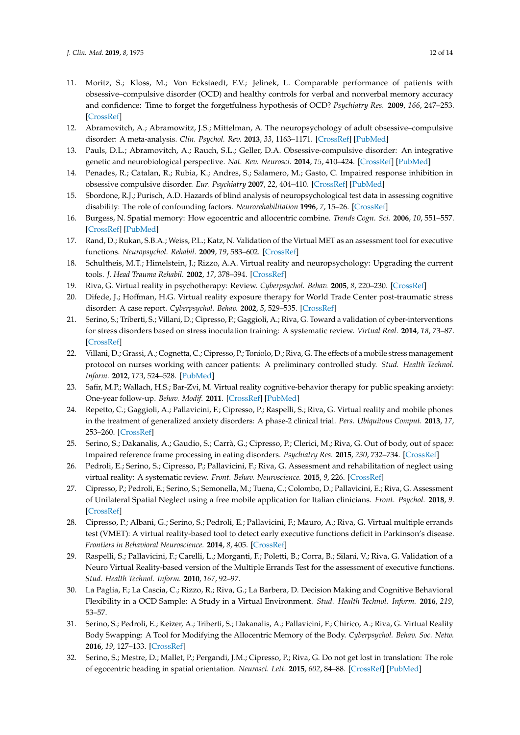- 11. Moritz, S.; Kloss, M.; Von Eckstaedt, F.V.; Jelinek, L. Comparable performance of patients with obsessive–compulsive disorder (OCD) and healthy controls for verbal and nonverbal memory accuracy and confidence: Time to forget the forgetfulness hypothesis of OCD? *Psychiatry Res.* **2009**, *166*, 247–253. [\[CrossRef\]](http://dx.doi.org/10.1016/j.psychres.2008.02.006)
- 12. Abramovitch, A.; Abramowitz, J.S.; Mittelman, A. The neuropsychology of adult obsessive–compulsive disorder: A meta-analysis. *Clin. Psychol. Rev.* **2013**, *33*, 1163–1171. [\[CrossRef\]](http://dx.doi.org/10.1016/j.cpr.2013.09.004) [\[PubMed\]](http://www.ncbi.nlm.nih.gov/pubmed/24128603)
- 13. Pauls, D.L.; Abramovitch, A.; Rauch, S.L.; Geller, D.A. Obsessive-compulsive disorder: An integrative genetic and neurobiological perspective. *Nat. Rev. Neurosci.* **2014**, *15*, 410–424. [\[CrossRef\]](http://dx.doi.org/10.1038/nrn3746) [\[PubMed\]](http://www.ncbi.nlm.nih.gov/pubmed/24840803)
- <span id="page-11-0"></span>14. Penades, R.; Catalan, R.; Rubia, K.; Andres, S.; Salamero, M.; Gasto, C. Impaired response inhibition in obsessive compulsive disorder. *Eur. Psychiatry* **2007**, *22*, 404–410. [\[CrossRef\]](http://dx.doi.org/10.1016/j.eurpsy.2006.05.001) [\[PubMed\]](http://www.ncbi.nlm.nih.gov/pubmed/17127038)
- <span id="page-11-1"></span>15. Sbordone, R.J.; Purisch, A.D. Hazards of blind analysis of neuropsychological test data in assessing cognitive disability: The role of confounding factors. *Neurorehabilitation* **1996**, *7*, 15–26. [\[CrossRef\]](http://dx.doi.org/10.1016/1053-8135(96)00172-2)
- <span id="page-11-2"></span>16. Burgess, N. Spatial memory: How egocentric and allocentric combine. *Trends Cogn. Sci.* **2006**, *10*, 551–557. [\[CrossRef\]](http://dx.doi.org/10.1016/j.tics.2006.10.005) [\[PubMed\]](http://www.ncbi.nlm.nih.gov/pubmed/17071127)
- <span id="page-11-3"></span>17. Rand, D.; Rukan, S.B.A.; Weiss, P.L.; Katz, N. Validation of the Virtual MET as an assessment tool for executive functions. *Neuropsychol. Rehabil.* **2009**, *19*, 583–602. [\[CrossRef\]](http://dx.doi.org/10.1080/09602010802469074)
- <span id="page-11-4"></span>18. Schultheis, M.T.; Himelstein, J.; Rizzo, A.A. Virtual reality and neuropsychology: Upgrading the current tools. *J. Head Trauma Rehabil.* **2002**, *17*, 378–394. [\[CrossRef\]](http://dx.doi.org/10.1097/00001199-200210000-00002)
- <span id="page-11-5"></span>19. Riva, G. Virtual reality in psychotherapy: Review. *Cyberpsychol. Behav.* **2005**, *8*, 220–230. [\[CrossRef\]](http://dx.doi.org/10.1089/cpb.2005.8.220)
- <span id="page-11-6"></span>20. Difede, J.; Hoffman, H.G. Virtual reality exposure therapy for World Trade Center post-traumatic stress disorder: A case report. *Cyberpsychol. Behav.* **2002**, *5*, 529–535. [\[CrossRef\]](http://dx.doi.org/10.1089/109493102321018169)
- 21. Serino, S.; Triberti, S.; Villani, D.; Cipresso, P.; Gaggioli, A.; Riva, G. Toward a validation of cyber-interventions for stress disorders based on stress inoculation training: A systematic review. *Virtual Real.* **2014**, *18*, 73–87. [\[CrossRef\]](http://dx.doi.org/10.1007/s10055-013-0237-6)
- <span id="page-11-7"></span>22. Villani, D.; Grassi, A.; Cognetta, C.; Cipresso, P.; Toniolo, D.; Riva, G. The effects of a mobile stress management protocol on nurses working with cancer patients: A preliminary controlled study. *Stud. Health Technol. Inform.* **2012**, *173*, 524–528. [\[PubMed\]](http://www.ncbi.nlm.nih.gov/pubmed/22357050)
- <span id="page-11-8"></span>23. Safir, M.P.; Wallach, H.S.; Bar-Zvi, M. Virtual reality cognitive-behavior therapy for public speaking anxiety: One-year follow-up. *Behav. Modif.* **2011**. [\[CrossRef\]](http://dx.doi.org/10.1177/0145445511429999) [\[PubMed\]](http://www.ncbi.nlm.nih.gov/pubmed/22180390)
- <span id="page-11-9"></span>24. Repetto, C.; Gaggioli, A.; Pallavicini, F.; Cipresso, P.; Raspelli, S.; Riva, G. Virtual reality and mobile phones in the treatment of generalized anxiety disorders: A phase-2 clinical trial. *Pers. Ubiquitous Comput.* **2013**, *17*, 253–260. [\[CrossRef\]](http://dx.doi.org/10.1007/s00779-011-0467-0)
- <span id="page-11-10"></span>25. Serino, S.; Dakanalis, A.; Gaudio, S.; Carrà, G.; Cipresso, P.; Clerici, M.; Riva, G. Out of body, out of space: Impaired reference frame processing in eating disorders. *Psychiatry Res.* **2015**, *230*, 732–734. [\[CrossRef\]](http://dx.doi.org/10.1016/j.psychres.2015.10.025)
- <span id="page-11-11"></span>26. Pedroli, E.; Serino, S.; Cipresso, P.; Pallavicini, F.; Riva, G. Assessment and rehabilitation of neglect using virtual reality: A systematic review. *Front. Behav. Neuroscience.* **2015**, *9*, 226. [\[CrossRef\]](http://dx.doi.org/10.3389/fnbeh.2015.00226)
- <span id="page-11-12"></span>27. Cipresso, P.; Pedroli, E.; Serino, S.; Semonella, M.; Tuena, C.; Colombo, D.; Pallavicini, E.; Riva, G. Assessment of Unilateral Spatial Neglect using a free mobile application for Italian clinicians. *Front. Psychol.* **2018**, *9*. [\[CrossRef\]](http://dx.doi.org/10.3389/fpsyg.2018.02241)
- <span id="page-11-13"></span>28. Cipresso, P.; Albani, G.; Serino, S.; Pedroli, E.; Pallavicini, F.; Mauro, A.; Riva, G. Virtual multiple errands test (VMET): A virtual reality-based tool to detect early executive functions deficit in Parkinson's disease. *Frontiers in Behavioral Neuroscience.* **2014**, *8*, 405. [\[CrossRef\]](http://dx.doi.org/10.3389/fnbeh.2014.00405)
- <span id="page-11-14"></span>29. Raspelli, S.; Pallavicini, F.; Carelli, L.; Morganti, F.; Poletti, B.; Corra, B.; Silani, V.; Riva, G. Validation of a Neuro Virtual Reality-based version of the Multiple Errands Test for the assessment of executive functions. *Stud. Health Technol. Inform.* **2010**, *167*, 92–97.
- <span id="page-11-15"></span>30. La Paglia, F.; La Cascia, C.; Rizzo, R.; Riva, G.; La Barbera, D. Decision Making and Cognitive Behavioral Flexibility in a OCD Sample: A Study in a Virtual Environment. *Stud. Health Technol. Inform.* **2016**, *219*, 53–57.
- <span id="page-11-16"></span>31. Serino, S.; Pedroli, E.; Keizer, A.; Triberti, S.; Dakanalis, A.; Pallavicini, F.; Chirico, A.; Riva, G. Virtual Reality Body Swapping: A Tool for Modifying the Allocentric Memory of the Body. *Cyberpsychol. Behav. Soc. Netw.* **2016**, *19*, 127–133. [\[CrossRef\]](http://dx.doi.org/10.1089/cyber.2015.0229)
- 32. Serino, S.; Mestre, D.; Mallet, P.; Pergandi, J.M.; Cipresso, P.; Riva, G. Do not get lost in translation: The role of egocentric heading in spatial orientation. *Neurosci. Lett.* **2015**, *602*, 84–88. [\[CrossRef\]](http://dx.doi.org/10.1016/j.neulet.2015.06.057) [\[PubMed\]](http://www.ncbi.nlm.nih.gov/pubmed/26145315)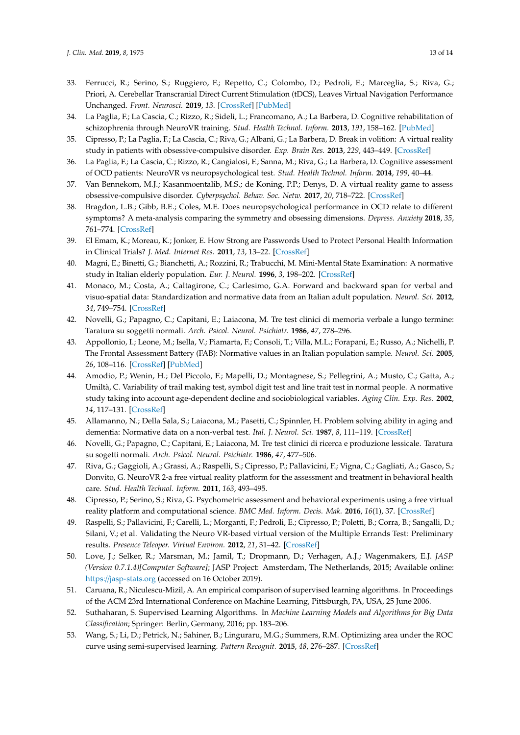- <span id="page-12-0"></span>33. Ferrucci, R.; Serino, S.; Ruggiero, F.; Repetto, C.; Colombo, D.; Pedroli, E.; Marceglia, S.; Riva, G.; Priori, A. Cerebellar Transcranial Direct Current Stimulation (tDCS), Leaves Virtual Navigation Performance Unchanged. *Front. Neurosci.* **2019**, *13*. [\[CrossRef\]](http://dx.doi.org/10.3389/fnins.2019.00198) [\[PubMed\]](http://www.ncbi.nlm.nih.gov/pubmed/30914915)
- <span id="page-12-1"></span>34. La Paglia, F.; La Cascia, C.; Rizzo, R.; Sideli, L.; Francomano, A.; La Barbera, D. Cognitive rehabilitation of schizophrenia through NeuroVR training. *Stud. Health Technol. Inform.* **2013**, *191*, 158–162. [\[PubMed\]](http://www.ncbi.nlm.nih.gov/pubmed/23792865)
- <span id="page-12-2"></span>35. Cipresso, P.; La Paglia, F.; La Cascia, C.; Riva, G.; Albani, G.; La Barbera, D. Break in volition: A virtual reality study in patients with obsessive-compulsive disorder. *Exp. Brain Res.* **2013**, *229*, 443–449. [\[CrossRef\]](http://dx.doi.org/10.1007/s00221-013-3471-y)
- 36. La Paglia, F.; La Cascia, C.; Rizzo, R.; Cangialosi, F.; Sanna, M.; Riva, G.; La Barbera, D. Cognitive assessment of OCD patients: NeuroVR vs neuropsychological test. *Stud. Health Technol. Inform.* **2014**, *199*, 40–44.
- <span id="page-12-3"></span>37. Van Bennekom, M.J.; Kasanmoentalib, M.S.; de Koning, P.P.; Denys, D. A virtual reality game to assess obsessive-compulsive disorder. *Cyberpsychol. Behav. Soc. Netw.* **2017**, *20*, 718–722. [\[CrossRef\]](http://dx.doi.org/10.1089/cyber.2017.0107)
- <span id="page-12-4"></span>38. Bragdon, L.B.; Gibb, B.E.; Coles, M.E. Does neuropsychological performance in OCD relate to different symptoms? A meta-analysis comparing the symmetry and obsessing dimensions. *Depress. Anxiety* **2018**, *35*, 761–774. [\[CrossRef\]](http://dx.doi.org/10.1002/da.22785)
- <span id="page-12-5"></span>39. El Emam, K.; Moreau, K.; Jonker, E. How Strong are Passwords Used to Protect Personal Health Information in Clinical Trials? *J. Med. Internet Res.* **2011**, *13*, 13–22. [\[CrossRef\]](http://dx.doi.org/10.2196/jmir.1335)
- <span id="page-12-6"></span>40. Magni, E.; Binetti, G.; Bianchetti, A.; Rozzini, R.; Trabucchi, M. Mini-Mental State Examination: A normative study in Italian elderly population. *Eur. J. Neurol.* **1996**, *3*, 198–202. [\[CrossRef\]](http://dx.doi.org/10.1111/j.1468-1331.1996.tb00423.x)
- <span id="page-12-7"></span>41. Monaco, M.; Costa, A.; Caltagirone, C.; Carlesimo, G.A. Forward and backward span for verbal and visuo-spatial data: Standardization and normative data from an Italian adult population. *Neurol. Sci.* **2012**, *34*, 749–754. [\[CrossRef\]](http://dx.doi.org/10.1007/s10072-012-1130-x)
- <span id="page-12-8"></span>42. Novelli, G.; Papagno, C.; Capitani, E.; Laiacona, M. Tre test clinici di memoria verbale a lungo termine: Taratura su soggetti normali. *Arch. Psicol. Neurol. Psichiatr.* **1986**, *47*, 278–296.
- <span id="page-12-9"></span>43. Appollonio, I.; Leone, M.; Isella, V.; Piamarta, F.; Consoli, T.; Villa, M.L.; Forapani, E.; Russo, A.; Nichelli, P. The Frontal Assessment Battery (FAB): Normative values in an Italian population sample. *Neurol. Sci.* **2005**, *26*, 108–116. [\[CrossRef\]](http://dx.doi.org/10.1007/s10072-005-0443-4) [\[PubMed\]](http://www.ncbi.nlm.nih.gov/pubmed/15995827)
- <span id="page-12-10"></span>44. Amodio, P.; Wenin, H.; Del Piccolo, F.; Mapelli, D.; Montagnese, S.; Pellegrini, A.; Musto, C.; Gatta, A.; Umiltà, C. Variability of trail making test, symbol digit test and line trait test in normal people. A normative study taking into account age-dependent decline and sociobiological variables. *Aging Clin. Exp. Res.* **2002**, *14*, 117–131. [\[CrossRef\]](http://dx.doi.org/10.1007/BF03324425)
- <span id="page-12-11"></span>45. Allamanno, N.; Della Sala, S.; Laiacona, M.; Pasetti, C.; Spinnler, H. Problem solving ability in aging and dementia: Normative data on a non-verbal test. *Ital. J. Neurol. Sci.* **1987**, *8*, 111–119. [\[CrossRef\]](http://dx.doi.org/10.1007/BF02337583)
- <span id="page-12-12"></span>46. Novelli, G.; Papagno, C.; Capitani, E.; Laiacona, M. Tre test clinici di ricerca e produzione lessicale. Taratura su sogetti normali. *Arch. Psicol. Neurol. Psichiatr.* **1986**, *47*, 477–506.
- <span id="page-12-13"></span>47. Riva, G.; Gaggioli, A.; Grassi, A.; Raspelli, S.; Cipresso, P.; Pallavicini, F.; Vigna, C.; Gagliati, A.; Gasco, S.; Donvito, G. NeuroVR 2-a free virtual reality platform for the assessment and treatment in behavioral health care. *Stud. Health Technol. Inform.* **2011**, *163*, 493–495.
- <span id="page-12-14"></span>48. Cipresso, P.; Serino, S.; Riva, G. Psychometric assessment and behavioral experiments using a free virtual reality platform and computational science. *BMC Med. Inform. Decis. Mak.* **2016**, *16*(1), 37. [\[CrossRef\]](http://dx.doi.org/10.1186/s12911-016-0276-5)
- <span id="page-12-15"></span>49. Raspelli, S.; Pallavicini, F.; Carelli, L.; Morganti, F.; Pedroli, E.; Cipresso, P.; Poletti, B.; Corra, B.; Sangalli, D.; Silani, V.; et al. Validating the Neuro VR-based virtual version of the Multiple Errands Test: Preliminary results. *Presence Teleoper. Virtual Environ.* **2012**, *21*, 31–42. [\[CrossRef\]](http://dx.doi.org/10.1162/PRES_a_00077)
- <span id="page-12-16"></span>50. Love, J.; Selker, R.; Marsman, M.; Jamil, T.; Dropmann, D.; Verhagen, A.J.; Wagenmakers, E.J. *JASP (Version 0.7.1.4)[Computer Software]*; JASP Project: Amsterdam, The Netherlands, 2015; Available online: https://[jasp-stats.org](https://jasp-stats.org) (accessed on 16 October 2019).
- <span id="page-12-17"></span>51. Caruana, R.; Niculescu-Mizil, A. An empirical comparison of supervised learning algorithms. In Proceedings of the ACM 23rd International Conference on Machine Learning, Pittsburgh, PA, USA, 25 June 2006.
- <span id="page-12-18"></span>52. Suthaharan, S. Supervised Learning Algorithms. In *Machine Learning Models and Algorithms for Big Data Classification*; Springer: Berlin, Germany, 2016; pp. 183–206.
- <span id="page-12-19"></span>53. Wang, S.; Li, D.; Petrick, N.; Sahiner, B.; Linguraru, M.G.; Summers, R.M. Optimizing area under the ROC curve using semi-supervised learning. *Pattern Recognit.* **2015**, *48*, 276–287. [\[CrossRef\]](http://dx.doi.org/10.1016/j.patcog.2014.07.025)